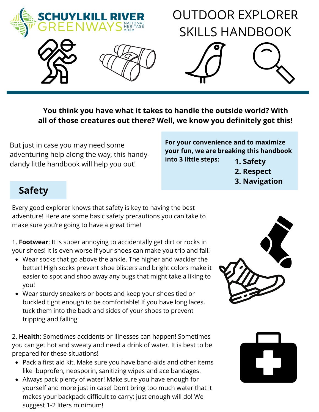

## **You think you have what it takes to handle the outside world? With all of those creatures out there? Well, we know you definitely got this!**

But just in case you may need some adventuring help along the way, this handydandy little handbook will help you out!

**For your convenience and to maximize your fun, we are breaking this handbook into 3 little steps: 1. Safety**

- **2. Respect**
- **3. Navigation**

# **Safety**

Every good explorer knows that safety is key to having the best adventure! Here are some basic safety precautions you can take to make sure you're going to have a great time!

1. **Footwear**: It is super annoying to accidentally get dirt or rocks in your shoes! It is even worse if your shoes can make you trip and fall!

- Wear socks that go above the ankle. The higher and wackier the better! High socks prevent shoe blisters and bright colors make it easier to spot and shoo away any bugs that might take a liking to you!
- Wear sturdy sneakers or boots and keep your shoes tied or buckled tight enough to be comfortable! If you have long laces, tuck them into the back and sides of your shoes to prevent tripping and falling

2. **Health**: Sometimes accidents or illnesses can happen! Sometimes you can get hot and sweaty and need a drink of water. It is best to be prepared for these situations!

- Pack a first aid kit. Make sure you have band-aids and other items like ibuprofen, neosporin, sanitizing wipes and ace bandages.
- Always pack plenty of water! Make sure you have enough for yourself and more just in case! Don't bring too much water that it makes your backpack difficult to carry; just enough will do! We suggest 1-2 liters minimum!



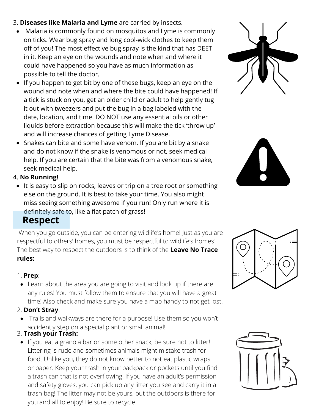- 3. **Diseases like Malaria and Lyme** are carried by insects.
	- Malaria is commonly found on mosquitos and Lyme is commonly on ticks. Wear bug spray and long cool-wick clothes to keep them off of you! The most effective bug spray is the kind that has DEET in it. Keep an eye on the wounds and note when and where it could have happened so you have as much information as possible to tell the doctor.
	- If you happen to get bit by one of these bugs, keep an eye on the wound and note when and where the bite could have happened! If a tick is stuck on you, get an older child or adult to help gently tug it out with tweezers and put the bug in a bag labeled with the date, location, and time. DO NOT use any essential oils or other liquids before extraction because this will make the tick 'throw up' and will increase chances of getting Lyme Disease.
	- Snakes can bite and some have venom. If you are bit by a snake and do not know if the snake is venomous or not, seek medical help. If you are certain that the bite was from a venomous snake, seek medical help.

#### 4. **No Running!**

• It is easy to slip on rocks, leaves or trip on a tree root or something else on the ground. It is best to take your time. You also might miss seeing something awesome if you run! Only run where it is definitely safe to, like a flat patch of grass!

## **Respect**

When you go outside, you can be entering wildlife's home! Just as you are respectful to others' homes, you must be respectful to wildlife's homes! The best way to respect the outdoors is to think of the **Leave No Trace rules:**

### 1. **Prep**:

Learn about the area you are going to visit and look up if there are any rules! You must follow them to ensure that you will have a great time! Also check and make sure you have a map handy to not get lost.

### 2. **Don't Stray**:

Trails and walkways are there for a purpose! Use them so you won't accidently step on a special plant or small animal!

### 3. **Trash your Trash:**

• If you eat a granola bar or some other snack, be sure not to litter! Littering is rude and sometimes animals might mistake trash for food. Unlike you, they do not know better to not eat plastic wraps or paper. Keep your trash in your backpack or pockets until you find a trash can that is not overflowing. If you have an adult's permission and safety gloves, you can pick up any litter you see and carry it in a trash bag! The litter may not be yours, but the outdoors is there for you and all to enjoy! Be sure to recycle